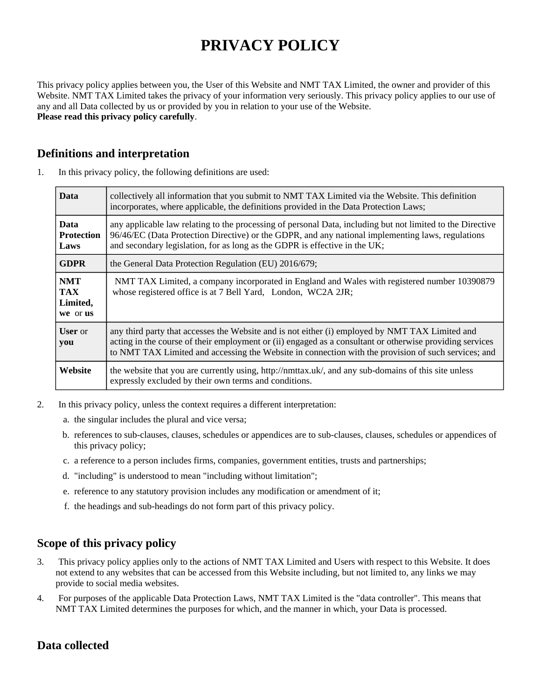# **PRIVACY POLICY**

This privacy policy applies between you, the User of this Website and NMT TAX Limited, the owner and provider of this Website. NMT TAX Limited takes the privacy of your information very seriously. This privacy policy applies to our use of any and all Data collected by us or provided by you in relation to your use of the Website. **Please read this privacy policy carefully**.

# **Definitions and interpretation**

| <b>Data</b>                                      | collectively all information that you submit to NMT TAX Limited via the Website. This definition<br>incorporates, where applicable, the definitions provided in the Data Protection Laws;                                                                                                                          |
|--------------------------------------------------|--------------------------------------------------------------------------------------------------------------------------------------------------------------------------------------------------------------------------------------------------------------------------------------------------------------------|
| <b>Data</b><br><b>Protection</b><br>Laws         | any applicable law relating to the processing of personal Data, including but not limited to the Directive<br>96/46/EC (Data Protection Directive) or the GDPR, and any national implementing laws, regulations<br>and secondary legislation, for as long as the GDPR is effective in the UK;                      |
| <b>GDPR</b>                                      | the General Data Protection Regulation (EU) 2016/679;                                                                                                                                                                                                                                                              |
| <b>NMT</b><br><b>TAX</b><br>Limited,<br>we or us | NMT TAX Limited, a company incorporated in England and Wales with registered number 10390879<br>whose registered office is at 7 Bell Yard, London, WC2A 2JR;                                                                                                                                                       |
| <b>User</b> or<br>you                            | any third party that accesses the Website and is not either (i) employed by NMT TAX Limited and<br>acting in the course of their employment or (ii) engaged as a consultant or otherwise providing services<br>to NMT TAX Limited and accessing the Website in connection with the provision of such services; and |
| Website                                          | the website that you are currently using, http://nmttax.uk/, and any sub-domains of this site unless<br>expressly excluded by their own terms and conditions.                                                                                                                                                      |

1. In this privacy policy, the following definitions are used:

- 2. In this privacy policy, unless the context requires a different interpretation:
	- a. the singular includes the plural and vice versa;
	- b. references to sub-clauses, clauses, schedules or appendices are to sub-clauses, clauses, schedules or appendices of this privacy policy;
	- c. a reference to a person includes firms, companies, government entities, trusts and partnerships;
	- d. "including" is understood to mean "including without limitation";
	- e. reference to any statutory provision includes any modification or amendment of it;
	- f. the headings and sub-headings do not form part of this privacy policy.

# **Scope of this privacy policy**

- 3. This privacy policy applies only to the actions of NMT TAX Limited and Users with respect to this Website. It does not extend to any websites that can be accessed from this Website including, but not limited to, any links we may provide to social media websites.
- 4. For purposes of the applicable Data Protection Laws, NMT TAX Limited is the "data controller". This means that NMT TAX Limited determines the purposes for which, and the manner in which, your Data is processed.

# **Data collected**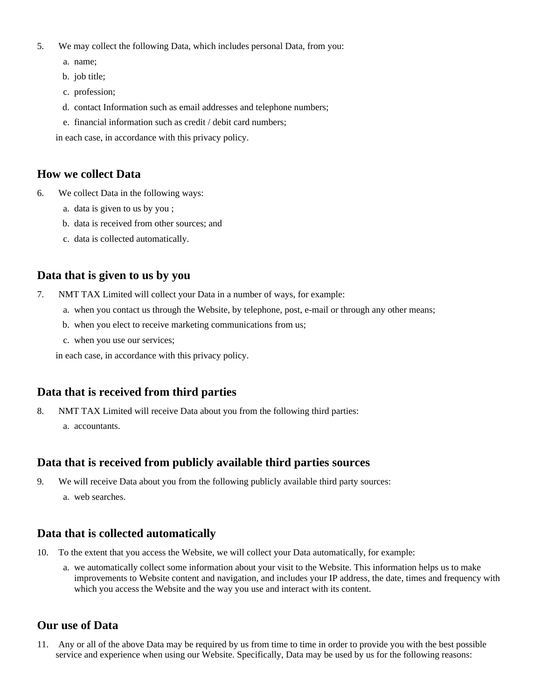- 5. We may collect the following Data, which includes personal Data, from you:
	- a. name;
	- b. job title;
	- c. profession;
	- d. contact Information such as email addresses and telephone numbers;
	- e. financial information such as credit / debit card numbers;

in each case, in accordance with this privacy policy.

# **How we collect Data**

- 6. We collect Data in the following ways:
	- a. data is given to us by you ;
	- b. data is received from other sources; and
	- c. data is collected automatically.

# **Data that is given to us by you**

- 7. NMT TAX Limited will collect your Data in a number of ways, for example:
	- a. when you contact us through the Website, by telephone, post, e-mail or through any other means;
	- b. when you elect to receive marketing communications from us;
	- c. when you use our services;

in each case, in accordance with this privacy policy.

# **Data that is received from third parties**

- 8. NMT TAX Limited will receive Data about you from the following third parties:
	- a. accountants.

# **Data that is received from publicly available third parties sources**

- 9. We will receive Data about you from the following publicly available third party sources:
	- a. web searches.

# **Data that is collected automatically**

- 10. To the extent that you access the Website, we will collect your Data automatically, for example:
	- a. we automatically collect some information about your visit to the Website. This information helps us to make improvements to Website content and navigation, and includes your IP address, the date, times and frequency with which you access the Website and the way you use and interact with its content.

# **Our use of Data**

11. Any or all of the above Data may be required by us from time to time in order to provide you with the best possible service and experience when using our Website. Specifically, Data may be used by us for the following reasons: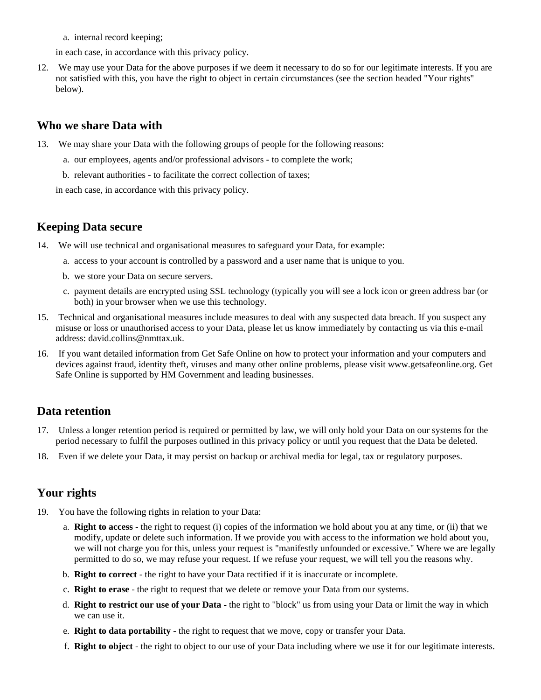a. internal record keeping;

in each case, in accordance with this privacy policy.

12. We may use your Data for the above purposes if we deem it necessary to do so for our legitimate interests. If you are not satisfied with this, you have the right to object in certain circumstances (see the section headed "Your rights" below).

#### **Who we share Data with**

- 13. We may share your Data with the following groups of people for the following reasons:
	- a. our employees, agents and/or professional advisors to complete the work;
	- b. relevant authorities to facilitate the correct collection of taxes;

in each case, in accordance with this privacy policy.

#### **Keeping Data secure**

- 14. We will use technical and organisational measures to safeguard your Data, for example:
	- a. access to your account is controlled by a password and a user name that is unique to you.
	- b. we store your Data on secure servers.
	- c. payment details are encrypted using SSL technology (typically you will see a lock icon or green address bar (or both) in your browser when we use this technology.
- 15. Technical and organisational measures include measures to deal with any suspected data breach. If you suspect any misuse or loss or unauthorised access to your Data, please let us know immediately by contacting us via this e-mail address: david.collins@nmttax.uk.
- 16. If you want detailed information from Get Safe Online on how to protect your information and your computers and devices against fraud, identity theft, viruses and many other online problems, please visit www.getsafeonline.org. Get Safe Online is supported by HM Government and leading businesses.

#### **Data retention**

- 17. Unless a longer retention period is required or permitted by law, we will only hold your Data on our systems for the period necessary to fulfil the purposes outlined in this privacy policy or until you request that the Data be deleted.
- 18. Even if we delete your Data, it may persist on backup or archival media for legal, tax or regulatory purposes.

# **Your rights**

- 19. You have the following rights in relation to your Data:
	- a. **Right to access** the right to request (i) copies of the information we hold about you at any time, or (ii) that we modify, update or delete such information. If we provide you with access to the information we hold about you, we will not charge you for this, unless your request is "manifestly unfounded or excessive." Where we are legally permitted to do so, we may refuse your request. If we refuse your request, we will tell you the reasons why.
	- b. **Right to correct** the right to have your Data rectified if it is inaccurate or incomplete.
	- c. **Right to erase** the right to request that we delete or remove your Data from our systems.
	- d. **Right to restrict our use of your Data** the right to "block" us from using your Data or limit the way in which we can use it.
	- e. **Right to data portability** the right to request that we move, copy or transfer your Data.
	- f. **Right to object** the right to object to our use of your Data including where we use it for our legitimate interests.